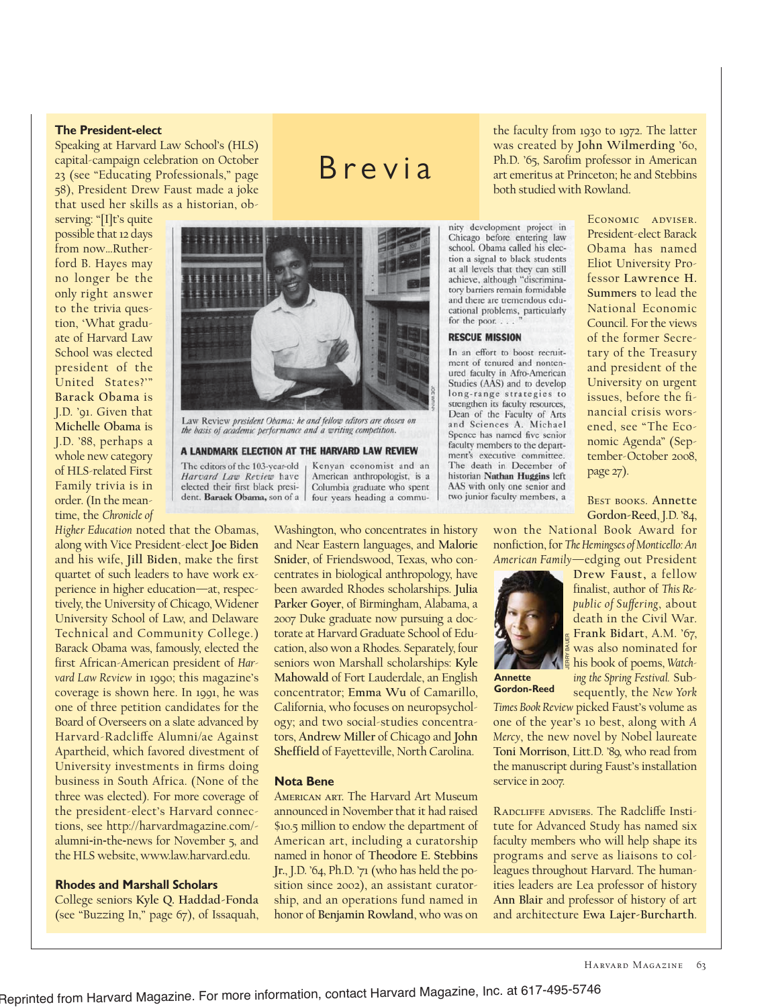# **The President-elect**

Speaking at Harvard Law School's (HLS) capital-campaign celebration on October 23 (see "Educating Professionals," page 58), President Drew Faust made a joke that used her skills as a historian, ob-

serving: "[I]t's quite possible that 12 days from now…Rutherford B. Hayes may no longer be the only right answer to the trivia question, 'What graduate of Harvard Law School was elected president of the United States?'" **Barack Obama** is J.D. '91. Given that **Michelle Obama** is J.D. '88, perhaps a whole new category of HLS-related First Family trivia is in order. (In the meantime, the *Chronicle of*



Law Review president Obama: he and fellow editors are chosen on the basis of academic performance and a writing competition.

#### A LANDMARK ELECTION AT THE HARVARD LAW REVIEW

The editors of the 103-year-old Harvard Law Review have elected their first black president. Barack Obama, son of a

Kenyan economist and an American anthropologist, is a Columbia graduate who spent four years heading a commu-

Brevia

*Higher Education* noted that the Obamas, along with Vice President-elect **Joe Biden** and his wife, **Jill Biden**, make the first quartet of such leaders to have work experience in higher education—at, respectively, the University of Chicago, Widener University School of Law, and Delaware Technical and Community College.) Barack Obama was, famously, elected the first African-American president of *Harvard Law Review* in 1990; this magazine's coverage is shown here. In 1991, he was one of three petition candidates for the Board of Overseers on a slate advanced by Harvard-Radcliffe Alumni/ae Against Apartheid, which favored divestment of University investments in firms doing business in South Africa. (None of the three was elected). For more coverage of the president-elect's Harvard connections, see http://harvardmagazine.com/ alumni-in-the-news for November 5, and the HLS website, www.law.harvard.edu.

### **Rhodes and Marshall Scholars**

College seniors **Kyle Q. Haddad-Fonda** (see "Buzzing In," page 67), of Issaquah,

Washington, who concentrates in history and Near Eastern languages, and **Malorie Snider**, of Friendswood, Texas, who concentrates in biological anthropology, have been awarded Rhodes scholarships. **Julia Parker Goyer**, of Birmingham, Alabama, a 2007 Duke graduate now pursuing a doctorate at Harvard Graduate School of Education, also won a Rhodes. Separately, four seniors won Marshall scholarships: **Kyle Mahowald** of Fort Lauderdale, an English concentrator; **Emma Wu** of Camarillo, California, who focuses on neuropsychology; and two social-studies concentrators, **Andrew Miller** of Chicago and **John Sheffield** of Fayetteville, North Carolina.

### **Nota Bene**

American art. The Harvard Art Museum announced in November that it had raised \$10.5 million to endow the department of American art, including a curatorship named in honor of **Theodore E. Stebbins Jr.**, J.D. '64, Ph.D. '71 (who has held the position since 2002), an assistant curatorship, and an operations fund named in honor of **Benjamin Rowland**, who was on

the faculty from 1930 to 1972. The latter was created by **John Wilmerding** '60, Ph.D. '65, Sarofim professor in American art emeritus at Princeton; he and Stebbins both studied with Rowland.

nity development project in Chicago before entering law school. Obama called his election a signal to black students at all levels that they can still achieve, although "discriminatory barriers remain formidable and there are tremendous educational problems, particularly for the poor...

## **RESCUE MISSION**

In an effort to boost recruitment of tenured and nontenured faculty in Afro-American Studies (AAS) and to develop long-range strategies to strengthen its faculty resources. Dean of the Faculty of Arts<br>and Sciences A. Michael Spence has named five senior faculty members to the department's executive committee. The death in December of historian Nathan Huggins left AAS with only one senior and two junior faculty members, a

Economic adviser. President-elect Barack Obama has named Eliot University Professor **Lawrence H. Summers** to lead the National Economic Council. For the views of the former Secretary of the Treasury and president of the University on urgent issues, before the financial crisis worsened, see "The Economic Agenda" (September-October 2008, page 27).

Best books. **Annette Gordon-Reed**, J.D. '84,

won the National Book Award for nonfiction, for *The Hemingses of Monticello: An American Family*—edging out President



**Annette Gordon-Reed**

**Drew Faust,** a fellow finalist, author of *This Re*public of Suffering, about death in the Civil War. **Frank Bidart**, A.M. '67, was also nominated for his book of poems, *Watching the Spring Festival.* Subsequently, the *New York* JERRY BAUER

*Times Book Review* picked Faust's volume as one of the year's 10 best, along with *A Mercy*, the new novel by Nobel laureate **Toni Morrison**, Litt.D. '89, who read from the manuscript during Faust's installation service in 2007.

RADCLIFFE ADVISERS. The Radcliffe Institute for Advanced Study has named six faculty members who will help shape its programs and serve as liaisons to colleagues throughout Harvard. The humanities leaders are Lea professor of history **Ann Blair** and professor of history of art and architecture **Ewa Lajer-Burcharth**.